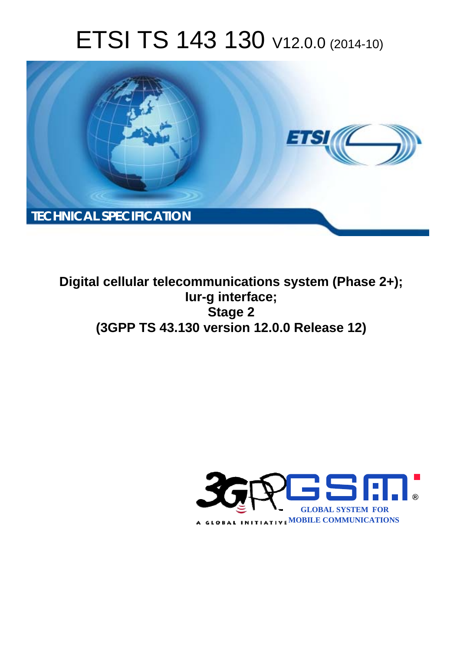# ETSI TS 143 130 V12.0.0 (2014-10)



**Digital cellular telecommunications system (Phase 2+); Iur-g interface; Stage 2 (3GPP TS 43.130 version 12.0.0 Release 12)** 

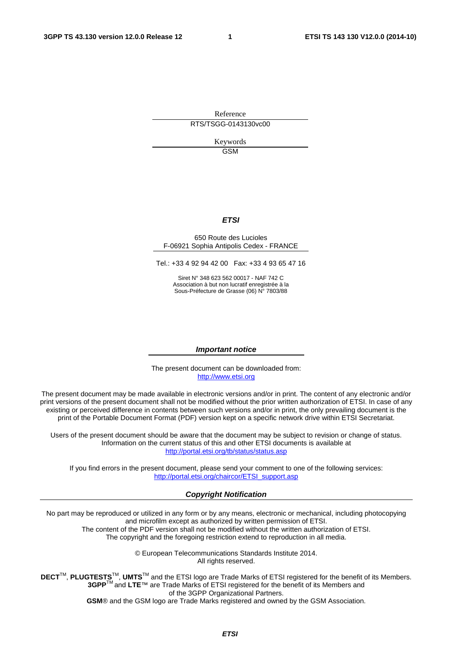Reference RTS/TSGG-0143130vc00

> Keywords **GSM**

#### *ETSI*

#### 650 Route des Lucioles F-06921 Sophia Antipolis Cedex - FRANCE

Tel.: +33 4 92 94 42 00 Fax: +33 4 93 65 47 16

Siret N° 348 623 562 00017 - NAF 742 C Association à but non lucratif enregistrée à la Sous-Préfecture de Grasse (06) N° 7803/88

#### *Important notice*

The present document can be downloaded from: [http://www.etsi.org](http://www.etsi.org/)

The present document may be made available in electronic versions and/or in print. The content of any electronic and/or print versions of the present document shall not be modified without the prior written authorization of ETSI. In case of any existing or perceived difference in contents between such versions and/or in print, the only prevailing document is the print of the Portable Document Format (PDF) version kept on a specific network drive within ETSI Secretariat.

Users of the present document should be aware that the document may be subject to revision or change of status. Information on the current status of this and other ETSI documents is available at <http://portal.etsi.org/tb/status/status.asp>

If you find errors in the present document, please send your comment to one of the following services: [http://portal.etsi.org/chaircor/ETSI\\_support.asp](http://portal.etsi.org/chaircor/ETSI_support.asp)

#### *Copyright Notification*

No part may be reproduced or utilized in any form or by any means, electronic or mechanical, including photocopying and microfilm except as authorized by written permission of ETSI.

The content of the PDF version shall not be modified without the written authorization of ETSI. The copyright and the foregoing restriction extend to reproduction in all media.

> © European Telecommunications Standards Institute 2014. All rights reserved.

**DECT**TM, **PLUGTESTS**TM, **UMTS**TM and the ETSI logo are Trade Marks of ETSI registered for the benefit of its Members. **3GPP**TM and **LTE**™ are Trade Marks of ETSI registered for the benefit of its Members and of the 3GPP Organizational Partners.

**GSM**® and the GSM logo are Trade Marks registered and owned by the GSM Association.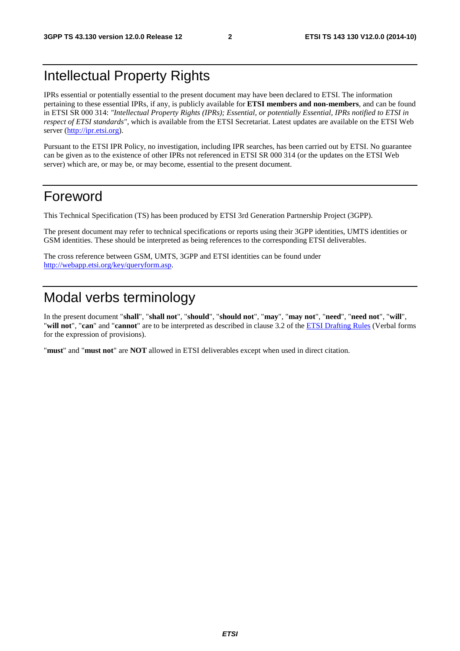# Intellectual Property Rights

IPRs essential or potentially essential to the present document may have been declared to ETSI. The information pertaining to these essential IPRs, if any, is publicly available for **ETSI members and non-members**, and can be found in ETSI SR 000 314: *"Intellectual Property Rights (IPRs); Essential, or potentially Essential, IPRs notified to ETSI in respect of ETSI standards"*, which is available from the ETSI Secretariat. Latest updates are available on the ETSI Web server ([http://ipr.etsi.org\)](http://webapp.etsi.org/IPR/home.asp).

Pursuant to the ETSI IPR Policy, no investigation, including IPR searches, has been carried out by ETSI. No guarantee can be given as to the existence of other IPRs not referenced in ETSI SR 000 314 (or the updates on the ETSI Web server) which are, or may be, or may become, essential to the present document.

# Foreword

This Technical Specification (TS) has been produced by ETSI 3rd Generation Partnership Project (3GPP).

The present document may refer to technical specifications or reports using their 3GPP identities, UMTS identities or GSM identities. These should be interpreted as being references to the corresponding ETSI deliverables.

The cross reference between GSM, UMTS, 3GPP and ETSI identities can be found under [http://webapp.etsi.org/key/queryform.asp.](http://webapp.etsi.org/key/queryform.asp)

# Modal verbs terminology

In the present document "**shall**", "**shall not**", "**should**", "**should not**", "**may**", "**may not**", "**need**", "**need not**", "**will**", "**will not**", "**can**" and "**cannot**" are to be interpreted as described in clause 3.2 of the [ETSI Drafting Rules](http://portal.etsi.org/Help/editHelp!/Howtostart/ETSIDraftingRules.aspx) (Verbal forms for the expression of provisions).

"**must**" and "**must not**" are **NOT** allowed in ETSI deliverables except when used in direct citation.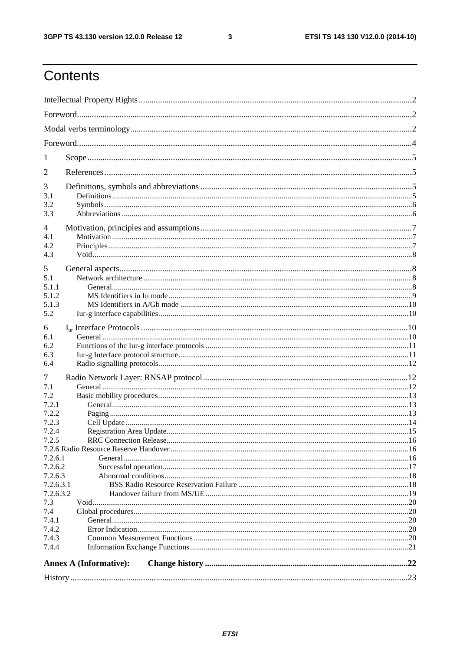$\mathbf{3}$ 

# Contents

| 1                  |                               |  |  |  |
|--------------------|-------------------------------|--|--|--|
|                    |                               |  |  |  |
| 2                  |                               |  |  |  |
| 3                  |                               |  |  |  |
| 3.1                |                               |  |  |  |
| 3.2                |                               |  |  |  |
| 3.3                |                               |  |  |  |
| $\overline{4}$     |                               |  |  |  |
| 4.1                |                               |  |  |  |
| 4.2                |                               |  |  |  |
| 4.3                |                               |  |  |  |
| 5                  |                               |  |  |  |
| 5.1                |                               |  |  |  |
| 5.1.1              |                               |  |  |  |
| 5.1.2              |                               |  |  |  |
| 5.1.3<br>5.2       |                               |  |  |  |
|                    |                               |  |  |  |
| 6                  |                               |  |  |  |
| 6.1                |                               |  |  |  |
| 6.2<br>6.3         |                               |  |  |  |
| 6.4                |                               |  |  |  |
|                    |                               |  |  |  |
| 7                  |                               |  |  |  |
| 7.1<br>7.2         |                               |  |  |  |
| 7.2.1              |                               |  |  |  |
| 7.2.2              |                               |  |  |  |
| 7.2.3              |                               |  |  |  |
| 7.2.4              |                               |  |  |  |
| 7.2.5              |                               |  |  |  |
|                    |                               |  |  |  |
| 7.2.6.1            |                               |  |  |  |
| 7.2.6.2<br>7.2.6.3 |                               |  |  |  |
| 7.2.6.3.1          |                               |  |  |  |
| 7.2.6.3.2          |                               |  |  |  |
| 7.3                |                               |  |  |  |
| 7.4                |                               |  |  |  |
| 7.4.1              |                               |  |  |  |
| 7.4.2              |                               |  |  |  |
| 7.4.3<br>7.4.4     |                               |  |  |  |
|                    |                               |  |  |  |
|                    | <b>Annex A (Informative):</b> |  |  |  |
|                    |                               |  |  |  |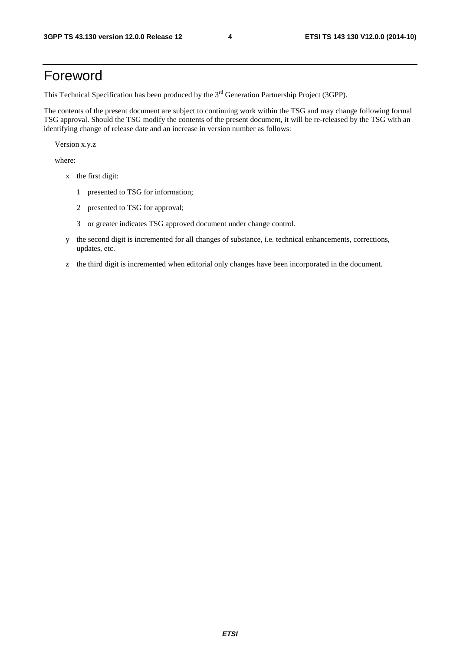# Foreword

This Technical Specification has been produced by the 3<sup>rd</sup> Generation Partnership Project (3GPP).

The contents of the present document are subject to continuing work within the TSG and may change following formal TSG approval. Should the TSG modify the contents of the present document, it will be re-released by the TSG with an identifying change of release date and an increase in version number as follows:

Version x.y.z

where:

- x the first digit:
	- 1 presented to TSG for information;
	- 2 presented to TSG for approval;
	- 3 or greater indicates TSG approved document under change control.
- y the second digit is incremented for all changes of substance, i.e. technical enhancements, corrections, updates, etc.
- z the third digit is incremented when editorial only changes have been incorporated in the document.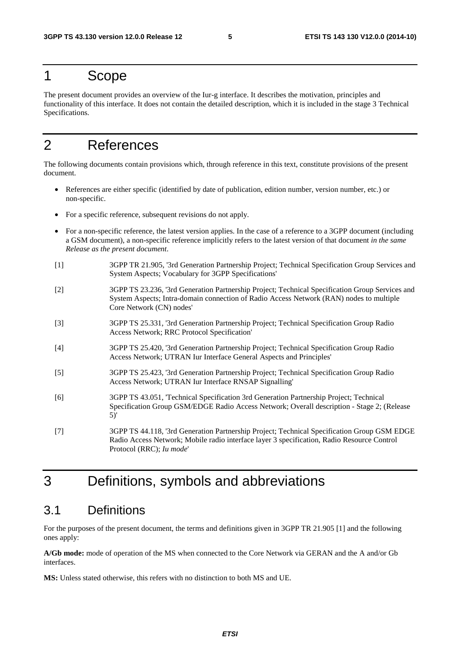### 1 Scope

The present document provides an overview of the Iur-g interface. It describes the motivation, principles and functionality of this interface. It does not contain the detailed description, which it is included in the stage 3 Technical Specifications.

# 2 References

The following documents contain provisions which, through reference in this text, constitute provisions of the present document.

- References are either specific (identified by date of publication, edition number, version number, etc.) or non-specific.
- For a specific reference, subsequent revisions do not apply.
- For a non-specific reference, the latest version applies. In the case of a reference to a 3GPP document (including a GSM document), a non-specific reference implicitly refers to the latest version of that document *in the same Release as the present document*.
- [1] 3GPP TR 21.905, '3rd Generation Partnership Project; Technical Specification Group Services and System Aspects; Vocabulary for 3GPP Specifications'
- [2] 3GPP TS 23.236, '3rd Generation Partnership Project; Technical Specification Group Services and System Aspects; Intra-domain connection of Radio Access Network (RAN) nodes to multiple Core Network (CN) nodes'
- [3] 3GPP TS 25.331, '3rd Generation Partnership Project; Technical Specification Group Radio Access Network; RRC Protocol Specification'
- [4] 3GPP TS 25.420, '3rd Generation Partnership Project; Technical Specification Group Radio Access Network; UTRAN Iur Interface General Aspects and Principles'
- [5] 3GPP TS 25.423, '3rd Generation Partnership Project; Technical Specification Group Radio Access Network; UTRAN Iur Interface RNSAP Signalling'
- [6] 3GPP TS 43.051, 'Technical Specification 3rd Generation Partnership Project; Technical Specification Group GSM/EDGE Radio Access Network; Overall description - Stage 2; (Release 5)'
- [7] 3GPP TS 44.118, '3rd Generation Partnership Project; Technical Specification Group GSM EDGE Radio Access Network; Mobile radio interface layer 3 specification, Radio Resource Control Protocol (RRC); *Iu mode*'

# 3 Definitions, symbols and abbreviations

### 3.1 Definitions

For the purposes of the present document, the terms and definitions given in 3GPP TR 21.905 [1] and the following ones apply:

**A/Gb mode:** mode of operation of the MS when connected to the Core Network via GERAN and the A and/or Gb interfaces.

**MS:** Unless stated otherwise, this refers with no distinction to both MS and UE.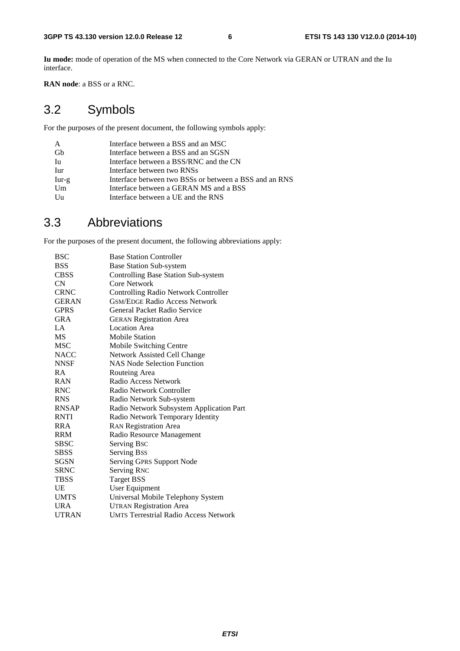**Iu mode:** mode of operation of the MS when connected to the Core Network via GERAN or UTRAN and the Iu interface.

**RAN node**: a BSS or a RNC.

# 3.2 Symbols

For the purposes of the present document, the following symbols apply:

| A       | Interface between a BSS and an MSC                     |
|---------|--------------------------------------------------------|
| Gb      | Interface between a BSS and an SGSN                    |
| Iu      | Interface between a BSS/RNC and the CN                 |
| Iur     | Interface between two RNSs                             |
| $Iur-g$ | Interface between two BSSs or between a BSS and an RNS |
| Um      | Interface between a GERAN MS and a BSS                 |
| Uu      | Interface between a UE and the RNS                     |

### 3.3 Abbreviations

For the purposes of the present document, the following abbreviations apply:

| <b>BSC</b>   | <b>Base Station Controller</b>               |
|--------------|----------------------------------------------|
| <b>BSS</b>   | <b>Base Station Sub-system</b>               |
| <b>CBSS</b>  | Controlling Base Station Sub-system          |
| CN           | Core Network                                 |
| <b>CRNC</b>  | <b>Controlling Radio Network Controller</b>  |
| <b>GERAN</b> | <b>GSM/EDGE Radio Access Network</b>         |
| <b>GPRS</b>  | General Packet Radio Service                 |
| <b>GRA</b>   | <b>GERAN Registration Area</b>               |
| LA           | <b>Location Area</b>                         |
| <b>MS</b>    | <b>Mobile Station</b>                        |
| <b>MSC</b>   | Mobile Switching Centre                      |
| <b>NACC</b>  | Network Assisted Cell Change                 |
| <b>NNSF</b>  | <b>NAS Node Selection Function</b>           |
| <b>RA</b>    | Routeing Area                                |
| <b>RAN</b>   | Radio Access Network                         |
| <b>RNC</b>   | Radio Network Controller                     |
| <b>RNS</b>   | Radio Network Sub-system                     |
| <b>RNSAP</b> | Radio Network Subsystem Application Part     |
| <b>RNTI</b>  | Radio Network Temporary Identity             |
| <b>RRA</b>   | <b>RAN Registration Area</b>                 |
| <b>RRM</b>   | Radio Resource Management                    |
| <b>SBSC</b>  | Serving Bsc                                  |
| <b>SBSS</b>  | Serving Bss                                  |
| SGSN         | Serving GPRS Support Node                    |
| <b>SRNC</b>  | Serving RNC                                  |
| <b>TBSS</b>  | <b>Target BSS</b>                            |
| UE           | User Equipment                               |
| <b>UMTS</b>  | Universal Mobile Telephony System            |
| URA          | <b>UTRAN Registration Area</b>               |
| <b>UTRAN</b> | <b>UMTS Terrestrial Radio Access Network</b> |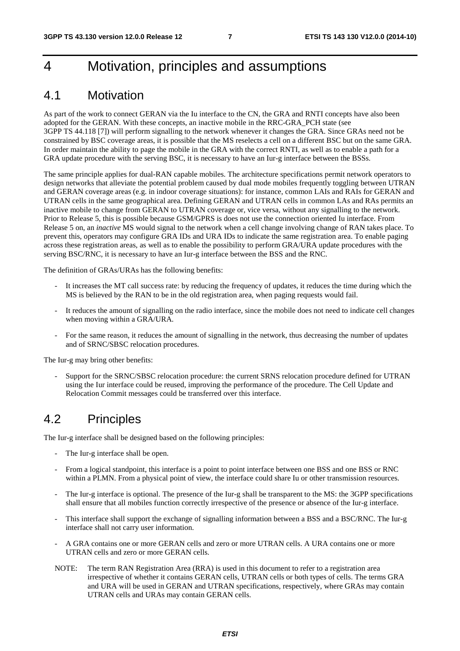# 4 Motivation, principles and assumptions

### 4.1 Motivation

As part of the work to connect GERAN via the Iu interface to the CN, the GRA and RNTI concepts have also been adopted for the GERAN. With these concepts, an inactive mobile in the RRC-GRA\_PCH state (see 3GPP TS 44.118 [7]) will perform signalling to the network whenever it changes the GRA. Since GRAs need not be constrained by BSC coverage areas, it is possible that the MS reselects a cell on a different BSC but on the same GRA. In order maintain the ability to page the mobile in the GRA with the correct RNTI, as well as to enable a path for a GRA update procedure with the serving BSC, it is necessary to have an Iur-g interface between the BSSs.

The same principle applies for dual-RAN capable mobiles. The architecture specifications permit network operators to design networks that alleviate the potential problem caused by dual mode mobiles frequently toggling between UTRAN and GERAN coverage areas (e.g. in indoor coverage situations): for instance, common LAIs and RAIs for GERAN and UTRAN cells in the same geographical area. Defining GERAN and UTRAN cells in common LAs and RAs permits an inactive mobile to change from GERAN to UTRAN coverage or, vice versa, without any signalling to the network. Prior to Release 5, this is possible because GSM/GPRS is does not use the connection oriented Iu interface. From Release 5 on, an *inactive* MS would signal to the network when a cell change involving change of RAN takes place. To prevent this, operators may configure GRA IDs and URA IDs to indicate the same registration area. To enable paging across these registration areas, as well as to enable the possibility to perform GRA/URA update procedures with the serving BSC/RNC, it is necessary to have an Iur-g interface between the BSS and the RNC.

The definition of GRAs/URAs has the following benefits:

- It increases the MT call success rate: by reducing the frequency of updates, it reduces the time during which the MS is believed by the RAN to be in the old registration area, when paging requests would fail.
- It reduces the amount of signalling on the radio interface, since the mobile does not need to indicate cell changes when moving within a GRA/URA.
- For the same reason, it reduces the amount of signalling in the network, thus decreasing the number of updates and of SRNC/SBSC relocation procedures.

The Iur-g may bring other benefits:

- Support for the SRNC/SBSC relocation procedure: the current SRNS relocation procedure defined for UTRAN using the Iur interface could be reused, improving the performance of the procedure. The Cell Update and Relocation Commit messages could be transferred over this interface.

### 4.2 Principles

The Iur-g interface shall be designed based on the following principles:

- The Iur-g interface shall be open.
- From a logical standpoint, this interface is a point to point interface between one BSS and one BSS or RNC within a PLMN. From a physical point of view, the interface could share Iu or other transmission resources.
- The Iur-g interface is optional. The presence of the Iur-g shall be transparent to the MS: the 3GPP specifications shall ensure that all mobiles function correctly irrespective of the presence or absence of the Iur-g interface.
- This interface shall support the exchange of signalling information between a BSS and a BSC/RNC. The Iur-g interface shall not carry user information.
- A GRA contains one or more GERAN cells and zero or more UTRAN cells. A URA contains one or more UTRAN cells and zero or more GERAN cells.
- NOTE: The term RAN Registration Area (RRA) is used in this document to refer to a registration area irrespective of whether it contains GERAN cells, UTRAN cells or both types of cells. The terms GRA and URA will be used in GERAN and UTRAN specifications, respectively, where GRAs may contain UTRAN cells and URAs may contain GERAN cells.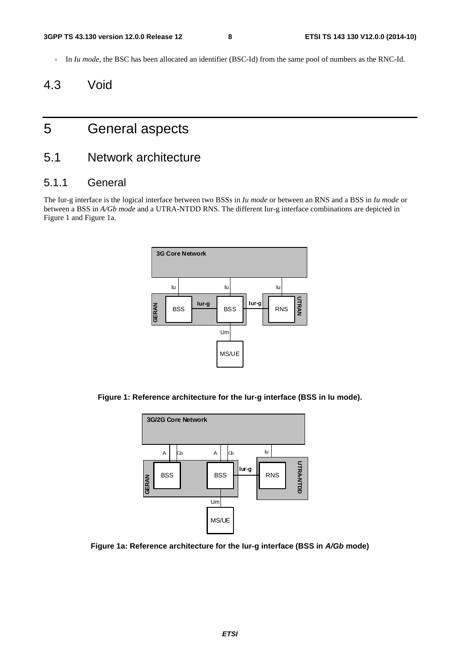- In *Iu mode*, the BSC has been allocated an identifier (BSC-Id) from the same pool of numbers as the RNC-Id.

# 4.3 Void

# 5 General aspects

### 5.1 Network architecture

#### 5.1.1 General

The Iur-g interface is the logical interface between two BSSs in *Iu mode* or between an RNS and a BSS in *Iu mode* or between a BSS in *A/Gb mode* and a UTRA-NTDD RNS. The different Iur-g interface combinations are depicted in Figure 1 and Figure 1a.



**Figure 1: Reference architecture for the Iur-g interface (BSS in Iu mode).** 



**Figure 1a: Reference architecture for the Iur-g interface (BSS in** *A/Gb* **mode)**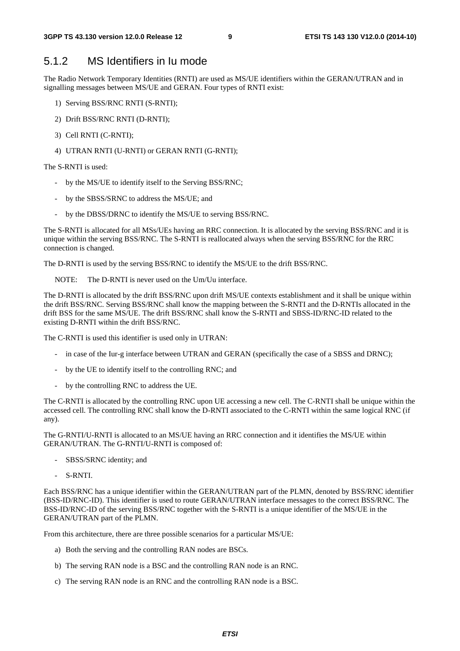#### 5.1.2 MS Identifiers in Iu mode

The Radio Network Temporary Identities (RNTI) are used as MS/UE identifiers within the GERAN/UTRAN and in signalling messages between MS/UE and GERAN. Four types of RNTI exist:

- 1) Serving BSS/RNC RNTI (S-RNTI);
- 2) Drift BSS/RNC RNTI (D-RNTI);
- 3) Cell RNTI (C-RNTI);
- 4) UTRAN RNTI (U-RNTI) or GERAN RNTI (G-RNTI);

The S-RNTI is used:

- by the MS/UE to identify itself to the Serving BSS/RNC;
- by the SBSS/SRNC to address the MS/UE; and
- by the DBSS/DRNC to identify the MS/UE to serving BSS/RNC.

The S-RNTI is allocated for all MSs/UEs having an RRC connection. It is allocated by the serving BSS/RNC and it is unique within the serving BSS/RNC. The S-RNTI is reallocated always when the serving BSS/RNC for the RRC connection is changed.

The D-RNTI is used by the serving BSS/RNC to identify the MS/UE to the drift BSS/RNC.

NOTE: The D-RNTI is never used on the Um/Uu interface.

The D-RNTI is allocated by the drift BSS/RNC upon drift MS/UE contexts establishment and it shall be unique within the drift BSS/RNC. Serving BSS/RNC shall know the mapping between the S-RNTI and the D-RNTIs allocated in the drift BSS for the same MS/UE. The drift BSS/RNC shall know the S-RNTI and SBSS-ID/RNC-ID related to the existing D-RNTI within the drift BSS/RNC.

The C-RNTI is used this identifier is used only in UTRAN:

- in case of the Iur-g interface between UTRAN and GERAN (specifically the case of a SBSS and DRNC);
- by the UE to identify itself to the controlling RNC; and
- by the controlling RNC to address the UE.

The C-RNTI is allocated by the controlling RNC upon UE accessing a new cell. The C-RNTI shall be unique within the accessed cell. The controlling RNC shall know the D-RNTI associated to the C-RNTI within the same logical RNC (if any).

The G-RNTI/U-RNTI is allocated to an MS/UE having an RRC connection and it identifies the MS/UE within GERAN/UTRAN. The G-RNTI/U-RNTI is composed of:

- SBSS/SRNC identity; and
- S-RNTI.

Each BSS/RNC has a unique identifier within the GERAN/UTRAN part of the PLMN, denoted by BSS/RNC identifier (BSS-ID/RNC-ID). This identifier is used to route GERAN/UTRAN interface messages to the correct BSS/RNC. The BSS-ID/RNC-ID of the serving BSS/RNC together with the S-RNTI is a unique identifier of the MS/UE in the GERAN/UTRAN part of the PLMN.

From this architecture, there are three possible scenarios for a particular MS/UE:

- a) Both the serving and the controlling RAN nodes are BSCs.
- b) The serving RAN node is a BSC and the controlling RAN node is an RNC.
- c) The serving RAN node is an RNC and the controlling RAN node is a BSC.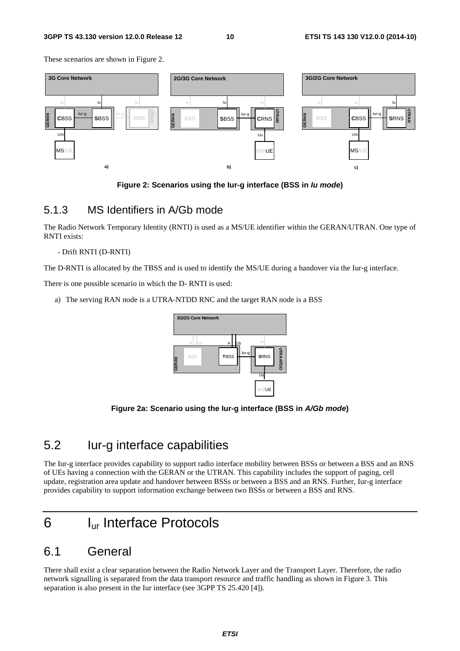These scenarios are shown in Figure 2.



**Figure 2: Scenarios using the Iur-g interface (BSS in** *Iu mode***)** 

#### 5.1.3 MS Identifiers in A/Gb mode

The Radio Network Temporary Identity (RNTI) is used as a MS/UE identifier within the GERAN/UTRAN. One type of RNTI exists:

#### - Drift RNTI (D-RNTI)

The D-RNTI is allocated by the TBSS and is used to identify the MS/UE during a handover via the Iur-g interface.

There is one possible scenario in which the D- RNTI is used:

a) The serving RAN node is a UTRA-NTDD RNC and the target RAN node is a BSS



**Figure 2a: Scenario using the Iur-g interface (BSS in** *A/Gb mode***)** 

### 5.2 Iur-g interface capabilities

The Iur-g interface provides capability to support radio interface mobility between BSSs or between a BSS and an RNS of UEs having a connection with the GERAN or the UTRAN. This capability includes the support of paging, cell update, registration area update and handover between BSSs or between a BSS and an RNS. Further, Iur-g interface provides capability to support information exchange between two BSSs or between a BSS and RNS.

# 6 Iur Interface Protocols

### 6.1 General

There shall exist a clear separation between the Radio Network Layer and the Transport Layer. Therefore, the radio network signalling is separated from the data transport resource and traffic handling as shown in Figure 3. This separation is also present in the Iur interface (see 3GPP TS 25.420 [4]).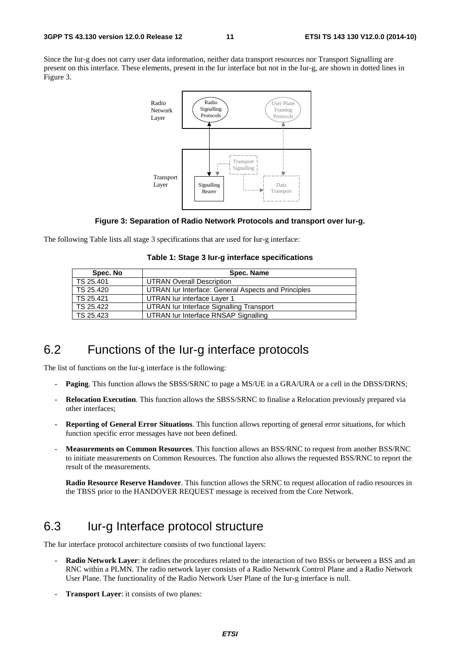Since the Iur-g does not carry user data information, neither data transport resources nor Transport Signalling are present on this interface. These elements, present in the Iur interface but not in the Iur-g, are shown in dotted lines in Figure 3.



#### **Figure 3: Separation of Radio Network Protocols and transport over Iur-g.**

The following Table lists all stage 3 specifications that are used for Iur-g interface:

|  |  |  | Table 1: Stage 3 lur-g interface specifications |
|--|--|--|-------------------------------------------------|
|--|--|--|-------------------------------------------------|

| Spec. No  | Spec. Name                                          |
|-----------|-----------------------------------------------------|
| TS 25.401 | <b>UTRAN Overall Description</b>                    |
| TS 25.420 | UTRAN Iur Interface: General Aspects and Principles |
| TS 25.421 | UTRAN lur interface Laver 1                         |
| TS 25.422 | UTRAN Iur Interface Signalling Transport            |
| TS 25.423 | UTRAN lur Interface RNSAP Signalling                |

### 6.2 Functions of the Iur-g interface protocols

The list of functions on the Iur-g interface is the following:

- **Paging**. This function allows the SBSS/SRNC to page a MS/UE in a GRA/URA or a cell in the DBSS/DRNS;
- **Relocation Execution**. This function allows the SBSS/SRNC to finalise a Relocation previously prepared via other interfaces;
- **Reporting of General Error Situations**. This function allows reporting of general error situations, for which function specific error messages have not been defined.
- **Measurements on Common Resources**. This function allows an BSS/RNC to request from another BSS/RNC to initiate measurements on Common Resources. The function also allows the requested BSS/RNC to report the result of the measurements.

**Radio Resource Reserve Handover**. This function allows the SRNC to request allocation of radio resources in the TBSS prior to the HANDOVER REQUEST message is received from the Core Network.

# 6.3 Iur-g Interface protocol structure

The Iur interface protocol architecture consists of two functional layers:

- **Radio Network Layer**: it defines the procedures related to the interaction of two BSSs or between a BSS and an RNC within a PLMN. The radio network layer consists of a Radio Network Control Plane and a Radio Network User Plane. The functionality of the Radio Network User Plane of the Iur-g interface is null.
- **Transport Layer:** it consists of two planes: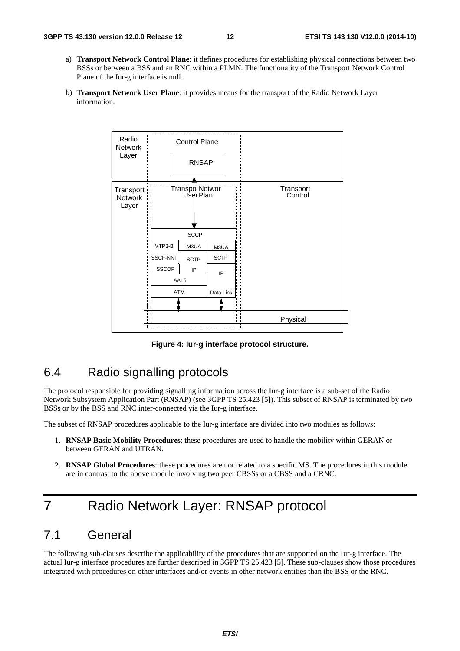- a) **Transport Network Control Plane**: it defines procedures for establishing physical connections between two BSSs or between a BSS and an RNC within a PLMN. The functionality of the Transport Network Control Plane of the Iur-g interface is null.
- b) **Transport Network User Plane**: it provides means for the transport of the Radio Network Layer information.



**Figure 4: Iur-g interface protocol structure.** 

# 6.4 Radio signalling protocols

The protocol responsible for providing signalling information across the Iur-g interface is a sub-set of the Radio Network Subsystem Application Part (RNSAP) (see 3GPP TS 25.423 [5]). This subset of RNSAP is terminated by two BSSs or by the BSS and RNC inter-connected via the Iur-g interface.

The subset of RNSAP procedures applicable to the Iur-g interface are divided into two modules as follows:

- 1. **RNSAP Basic Mobility Procedures**: these procedures are used to handle the mobility within GERAN or between GERAN and UTRAN.
- 2. **RNSAP Global Procedures**: these procedures are not related to a specific MS. The procedures in this module are in contrast to the above module involving two peer CBSSs or a CBSS and a CRNC.

# 7 Radio Network Layer: RNSAP protocol

### 7.1 General

The following sub-clauses describe the applicability of the procedures that are supported on the Iur-g interface. The actual Iur-g interface procedures are further described in 3GPP TS 25.423 [5]. These sub-clauses show those procedures integrated with procedures on other interfaces and/or events in other network entities than the BSS or the RNC.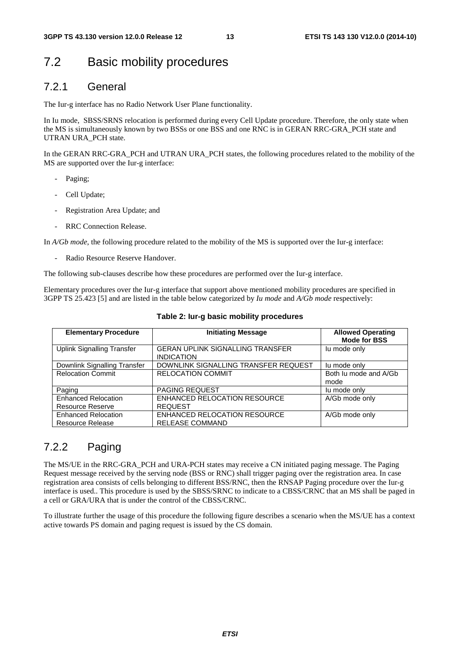### 7.2 Basic mobility procedures

#### 7.2.1 General

The Iur-g interface has no Radio Network User Plane functionality.

In Iu mode, SBSS/SRNS relocation is performed during every Cell Update procedure. Therefore, the only state when the MS is simultaneously known by two BSSs or one BSS and one RNC is in GERAN RRC-GRA\_PCH state and UTRAN URA\_PCH state.

In the GERAN RRC-GRA PCH and UTRAN URA PCH states, the following procedures related to the mobility of the MS are supported over the Iur-g interface:

- Paging;
- Cell Update;
- Registration Area Update; and
- RRC Connection Release.

In *A/Gb mode*, the following procedure related to the mobility of the MS is supported over the Iur-g interface:

Radio Resource Reserve Handover.

The following sub-clauses describe how these procedures are performed over the Iur-g interface.

Elementary procedures over the Iur-g interface that support above mentioned mobility procedures are specified in 3GPP TS 25.423 [5] and are listed in the table below categorized by *Iu mode* and *A/Gb mode* respectively:

| <b>Elementary Procedure</b>                           | <b>Initiating Message</b>                                    | <b>Allowed Operating</b><br><b>Mode for BSS</b> |
|-------------------------------------------------------|--------------------------------------------------------------|-------------------------------------------------|
| <b>Uplink Signalling Transfer</b>                     | <b>GERAN UPLINK SIGNALLING TRANSFER</b><br><b>INDICATION</b> | lu mode only                                    |
| Downlink Signalling Transfer                          | DOWNLINK SIGNALLING TRANSFER REQUEST                         | lu mode only                                    |
| <b>Relocation Commit</b>                              | <b>RELOCATION COMMIT</b>                                     | Both Ju mode and A/Gb<br>mode                   |
| Paging                                                | <b>PAGING REQUEST</b>                                        | lu mode only                                    |
| <b>Enhanced Relocation</b><br><b>Resource Reserve</b> | <b>ENHANCED RELOCATION RESOURCE</b><br><b>REQUEST</b>        | A/Gb mode only                                  |
| <b>Enhanced Relocation</b><br><b>Resource Release</b> | ENHANCED RELOCATION RESOURCE<br><b>RELEASE COMMAND</b>       | A/Gb mode only                                  |

#### **Table 2: Iur-g basic mobility procedures**

#### 7.2.2 Paging

The MS/UE in the RRC-GRA\_PCH and URA-PCH states may receive a CN initiated paging message. The Paging Request message received by the serving node (BSS or RNC) shall trigger paging over the registration area. In case registration area consists of cells belonging to different BSS/RNC, then the RNSAP Paging procedure over the Iur-g interface is used.. This procedure is used by the SBSS/SRNC to indicate to a CBSS/CRNC that an MS shall be paged in a cell or GRA/URA that is under the control of the CBSS/CRNC.

To illustrate further the usage of this procedure the following figure describes a scenario when the MS/UE has a context active towards PS domain and paging request is issued by the CS domain.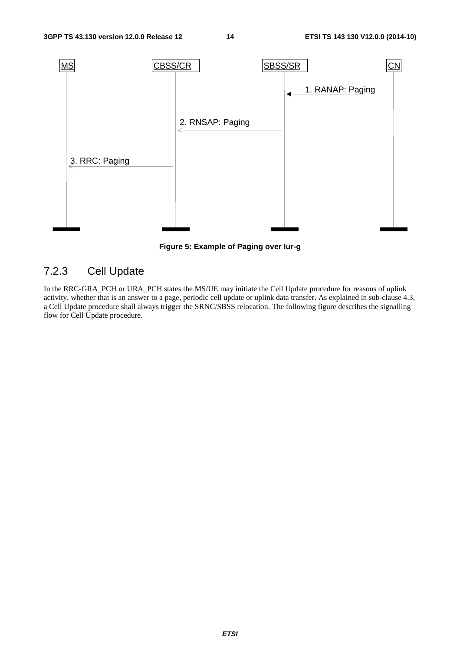

**Figure 5: Example of Paging over Iur-g** 

### 7.2.3 Cell Update

In the RRC-GRA\_PCH or URA\_PCH states the MS/UE may initiate the Cell Update procedure for reasons of uplink activity, whether that is an answer to a page, periodic cell update or uplink data transfer. As explained in sub-clause 4.3, a Cell Update procedure shall always trigger the SRNC/SBSS relocation. The following figure describes the signalling flow for Cell Update procedure.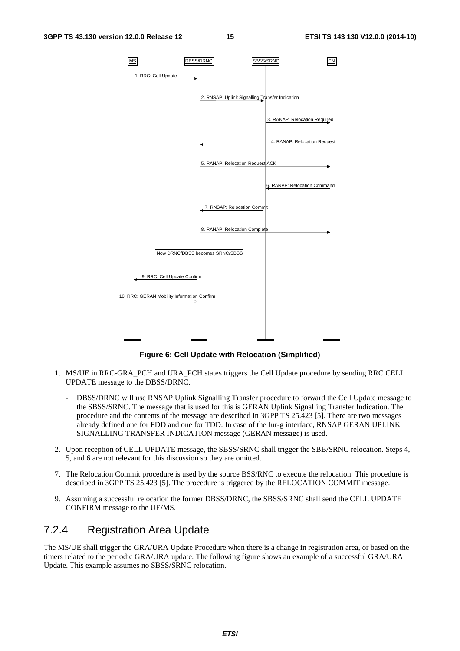

**Figure 6: Cell Update with Relocation (Simplified)** 

- 1. MS/UE in RRC-GRA\_PCH and URA\_PCH states triggers the Cell Update procedure by sending RRC CELL UPDATE message to the DBSS/DRNC.
	- DBSS/DRNC will use RNSAP Uplink Signalling Transfer procedure to forward the Cell Update message to the SBSS/SRNC. The message that is used for this is GERAN Uplink Signalling Transfer Indication. The procedure and the contents of the message are described in 3GPP TS 25.423 [5]. There are two messages already defined one for FDD and one for TDD. In case of the Iur-g interface, RNSAP GERAN UPLINK SIGNALLING TRANSFER INDICATION message (GERAN message) is used.
- 2. Upon reception of CELL UPDATE message, the SBSS/SRNC shall trigger the SBB/SRNC relocation. Steps 4, 5, and 6 are not relevant for this discussion so they are omitted.
- 7. The Relocation Commit procedure is used by the source BSS/RNC to execute the relocation. This procedure is described in 3GPP TS 25.423 [5]. The procedure is triggered by the RELOCATION COMMIT message.
- 9. Assuming a successful relocation the former DBSS/DRNC, the SBSS/SRNC shall send the CELL UPDATE CONFIRM message to the UE/MS.

#### 7.2.4 Registration Area Update

The MS/UE shall trigger the GRA/URA Update Procedure when there is a change in registration area, or based on the timers related to the periodic GRA/URA update. The following figure shows an example of a successful GRA/URA Update. This example assumes no SBSS/SRNC relocation.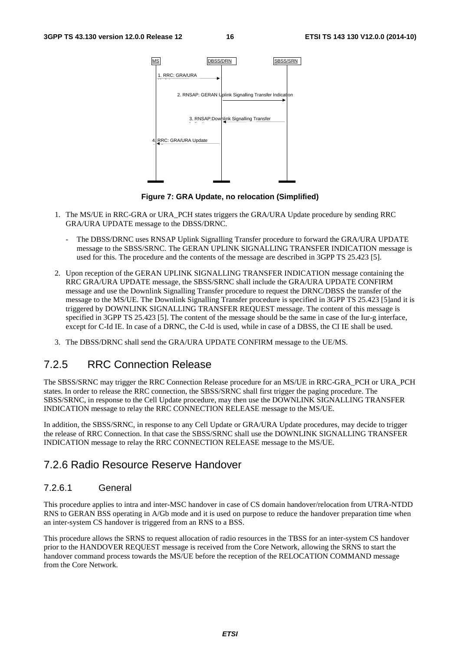

**Figure 7: GRA Update, no relocation (Simplified)** 

- 1. The MS/UE in RRC-GRA or URA\_PCH states triggers the GRA/URA Update procedure by sending RRC GRA/URA UPDATE message to the DBSS/DRNC.
	- The DBSS/DRNC uses RNSAP Uplink Signalling Transfer procedure to forward the GRA/URA UPDATE message to the SBSS/SRNC. The GERAN UPLINK SIGNALLING TRANSFER INDICATION message is used for this. The procedure and the contents of the message are described in 3GPP TS 25.423 [5].
- 2. Upon reception of the GERAN UPLINK SIGNALLING TRANSFER INDICATION message containing the RRC GRA/URA UPDATE message, the SBSS/SRNC shall include the GRA/URA UPDATE CONFIRM message and use the Downlink Signalling Transfer procedure to request the DRNC/DBSS the transfer of the message to the MS/UE. The Downlink Signalling Transfer procedure is specified in 3GPP TS 25.423 [5]and it is triggered by DOWNLINK SIGNALLING TRANSFER REQUEST message. The content of this message is specified in 3GPP TS 25.423 [5]. The content of the message should be the same in case of the Iur-g interface, except for C-Id IE. In case of a DRNC, the C-Id is used, while in case of a DBSS, the CI IE shall be used.
- 3. The DBSS/DRNC shall send the GRA/URA UPDATE CONFIRM message to the UE/MS.

#### 7.2.5 RRC Connection Release

The SBSS/SRNC may trigger the RRC Connection Release procedure for an MS/UE in RRC-GRA\_PCH or URA\_PCH states. In order to release the RRC connection, the SBSS/SRNC shall first trigger the paging procedure. The SBSS/SRNC, in response to the Cell Update procedure, may then use the DOWNLINK SIGNALLING TRANSFER INDICATION message to relay the RRC CONNECTION RELEASE message to the MS/UE.

In addition, the SBSS/SRNC, in response to any Cell Update or GRA/URA Update procedures, may decide to trigger the release of RRC Connection. In that case the SBSS/SRNC shall use the DOWNLINK SIGNALLING TRANSFER INDICATION message to relay the RRC CONNECTION RELEASE message to the MS/UE.

#### 7.2.6 Radio Resource Reserve Handover

#### 7.2.6.1 General

This procedure applies to intra and inter-MSC handover in case of CS domain handover/relocation from UTRA-NTDD RNS to GERAN BSS operating in A/Gb mode and it is used on purpose to reduce the handover preparation time when an inter-system CS handover is triggered from an RNS to a BSS.

This procedure allows the SRNS to request allocation of radio resources in the TBSS for an inter-system CS handover prior to the HANDOVER REQUEST message is received from the Core Network, allowing the SRNS to start the handover command process towards the MS/UE before the reception of the RELOCATION COMMAND message from the Core Network.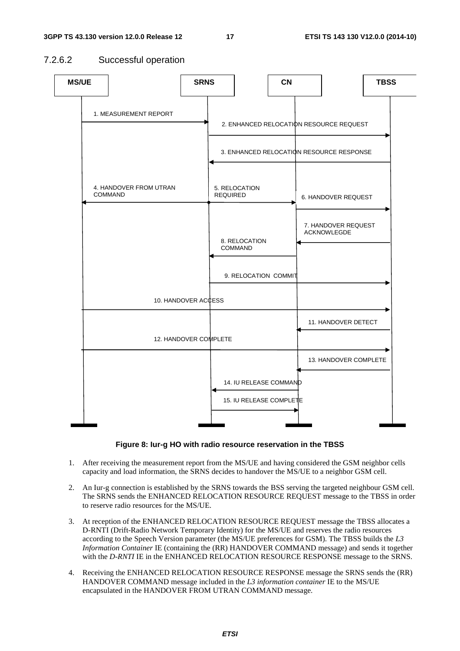#### 7.2.6.2 Successful operation



#### **Figure 8: Iur-g HO with radio resource reservation in the TBSS**

- 1. After receiving the measurement report from the MS/UE and having considered the GSM neighbor cells capacity and load information, the SRNS decides to handover the MS/UE to a neighbor GSM cell.
- 2. An Iur-g connection is established by the SRNS towards the BSS serving the targeted neighbour GSM cell. The SRNS sends the ENHANCED RELOCATION RESOURCE REQUEST message to the TBSS in order to reserve radio resources for the MS/UE.
- 3. At reception of the ENHANCED RELOCATION RESOURCE REQUEST message the TBSS allocates a D-RNTI (Drift-Radio Network Temporary Identity) for the MS/UE and reserves the radio resources according to the Speech Version parameter (the MS/UE preferences for GSM). The TBSS builds the *L3 Information Container* IE (containing the (RR) HANDOVER COMMAND message) and sends it together with the *D-RNTI* IE in the ENHANCED RELOCATION RESOURCE RESPONSE message to the SRNS.
- 4. Receiving the ENHANCED RELOCATION RESOURCE RESPONSE message the SRNS sends the (RR) HANDOVER COMMAND message included in the *L3 information container* IE to the MS/UE encapsulated in the HANDOVER FROM UTRAN COMMAND message.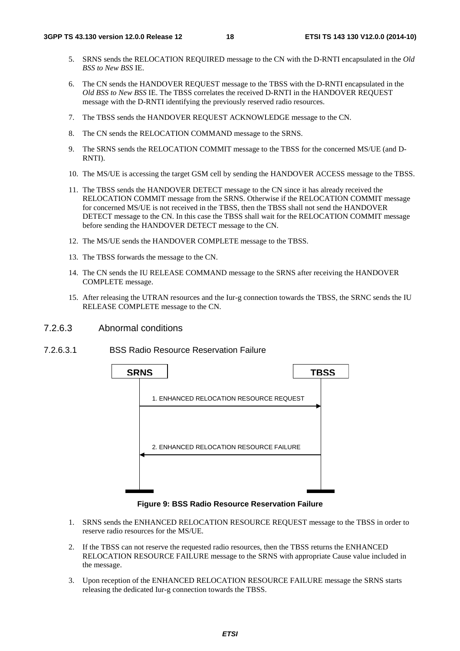- 5. SRNS sends the RELOCATION REQUIRED message to the CN with the D-RNTI encapsulated in the *Old BSS to New BSS* IE.
- 6. The CN sends the HANDOVER REQUEST message to the TBSS with the D-RNTI encapsulated in the *Old BSS to New BSS* IE. The TBSS correlates the received D-RNTI in the HANDOVER REQUEST message with the D-RNTI identifying the previously reserved radio resources.
- 7. The TBSS sends the HANDOVER REQUEST ACKNOWLEDGE message to the CN.
- 8. The CN sends the RELOCATION COMMAND message to the SRNS.
- 9. The SRNS sends the RELOCATION COMMIT message to the TBSS for the concerned MS/UE (and D-RNTI).
- 10. The MS/UE is accessing the target GSM cell by sending the HANDOVER ACCESS message to the TBSS.
- 11. The TBSS sends the HANDOVER DETECT message to the CN since it has already received the RELOCATION COMMIT message from the SRNS. Otherwise if the RELOCATION COMMIT message for concerned MS/UE is not received in the TBSS, then the TBSS shall not send the HANDOVER DETECT message to the CN. In this case the TBSS shall wait for the RELOCATION COMMIT message before sending the HANDOVER DETECT message to the CN.
- 12. The MS/UE sends the HANDOVER COMPLETE message to the TBSS.
- 13. The TBSS forwards the message to the CN.
- 14. The CN sends the IU RELEASE COMMAND message to the SRNS after receiving the HANDOVER COMPLETE message.
- 15. After releasing the UTRAN resources and the Iur-g connection towards the TBSS, the SRNC sends the IU RELEASE COMPLETE message to the CN.
- 7.2.6.3 Abnormal conditions
- 7.2.6.3.1 BSS Radio Resource Reservation Failure



**Figure 9: BSS Radio Resource Reservation Failure** 

- 1. SRNS sends the ENHANCED RELOCATION RESOURCE REQUEST message to the TBSS in order to reserve radio resources for the MS/UE.
- 2. If the TBSS can not reserve the requested radio resources, then the TBSS returns the ENHANCED RELOCATION RESOURCE FAILURE message to the SRNS with appropriate Cause value included in the message.
- 3. Upon reception of the ENHANCED RELOCATION RESOURCE FAILURE message the SRNS starts releasing the dedicated Iur-g connection towards the TBSS.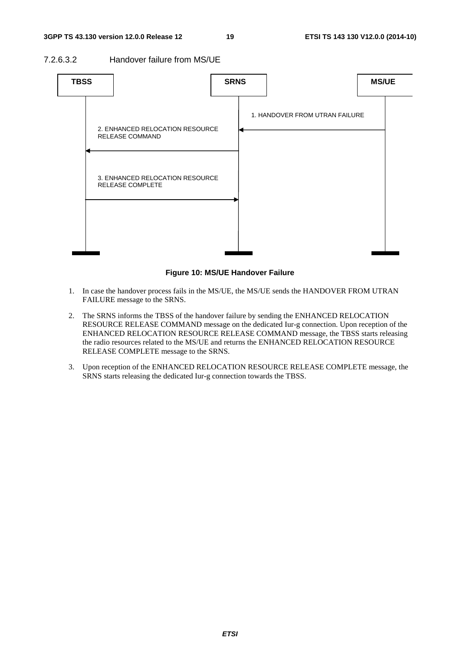7.2.6.3.2 Handover failure from MS/UE



**Figure 10: MS/UE Handover Failure** 

- 1. In case the handover process fails in the MS/UE, the MS/UE sends the HANDOVER FROM UTRAN FAILURE message to the SRNS.
- 2. The SRNS informs the TBSS of the handover failure by sending the ENHANCED RELOCATION RESOURCE RELEASE COMMAND message on the dedicated Iur-g connection. Upon reception of the ENHANCED RELOCATION RESOURCE RELEASE COMMAND message, the TBSS starts releasing the radio resources related to the MS/UE and returns the ENHANCED RELOCATION RESOURCE RELEASE COMPLETE message to the SRNS.
- 3. Upon reception of the ENHANCED RELOCATION RESOURCE RELEASE COMPLETE message, the SRNS starts releasing the dedicated Iur-g connection towards the TBSS.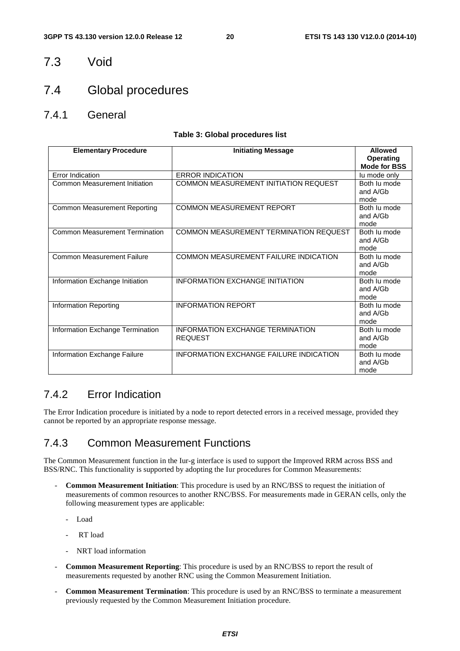7.3 Void

### 7.4 Global procedures

7.4.1 General

#### **Table 3: Global procedures list**

| <b>Elementary Procedure</b>           | <b>Initiating Message</b>                          | <b>Allowed</b><br><b>Operating</b> |
|---------------------------------------|----------------------------------------------------|------------------------------------|
|                                       |                                                    | <b>Mode for BSS</b>                |
| Error Indication                      | <b>ERROR INDICATION</b>                            | lu mode only                       |
| Common Measurement Initiation         | COMMON MEASUREMENT INITIATION REQUEST              | Both lu mode<br>and A/Gb<br>mode   |
| Common Measurement Reporting          | <b>COMMON MEASUREMENT REPORT</b>                   | Both lu mode<br>and A/Gb<br>mode   |
| <b>Common Measurement Termination</b> | COMMON MEASUREMENT TERMINATION REQUEST             | Both lu mode<br>and A/Gb<br>mode   |
| <b>Common Measurement Failure</b>     | COMMON MEASUREMENT FAILURE INDICATION              | Both lu mode<br>and A/Gb<br>mode   |
| Information Exchange Initiation       | INFORMATION EXCHANGE INITIATION                    | Both lu mode<br>and A/Gb<br>mode   |
| Information Reporting                 | <b>INFORMATION REPORT</b>                          | Both lu mode<br>and A/Gb<br>mode   |
| Information Exchange Termination      | INFORMATION EXCHANGE TERMINATION<br><b>REQUEST</b> | Both lu mode<br>and A/Gb<br>mode   |
| Information Exchange Failure          | <b>INFORMATION EXCHANGE FAILURE INDICATION</b>     | Both lu mode<br>and A/Gb<br>mode   |

#### 7.4.2 Error Indication

The Error Indication procedure is initiated by a node to report detected errors in a received message, provided they cannot be reported by an appropriate response message.

#### 7.4.3 Common Measurement Functions

The Common Measurement function in the Iur-g interface is used to support the Improved RRM across BSS and BSS/RNC. This functionality is supported by adopting the Iur procedures for Common Measurements:

- **Common Measurement Initiation**: This procedure is used by an RNC/BSS to request the initiation of measurements of common resources to another RNC/BSS. For measurements made in GERAN cells, only the following measurement types are applicable:
	- Load
	- RT load
	- NRT load information
- **Common Measurement Reporting**: This procedure is used by an RNC/BSS to report the result of measurements requested by another RNC using the Common Measurement Initiation.
- **Common Measurement Termination**: This procedure is used by an RNC/BSS to terminate a measurement previously requested by the Common Measurement Initiation procedure.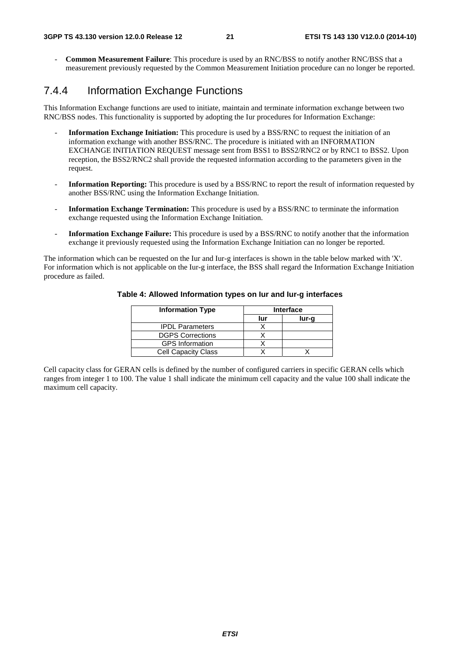- **Common Measurement Failure**: This procedure is used by an RNC/BSS to notify another RNC/BSS that a measurement previously requested by the Common Measurement Initiation procedure can no longer be reported.

#### 7.4.4 Information Exchange Functions

This Information Exchange functions are used to initiate, maintain and terminate information exchange between two RNC/BSS nodes. This functionality is supported by adopting the Iur procedures for Information Exchange:

- **Information Exchange Initiation:** This procedure is used by a BSS/RNC to request the initiation of an information exchange with another BSS/RNC. The procedure is initiated with an INFORMATION EXCHANGE INITIATION REQUEST message sent from BSS1 to BSS2/RNC2 or by RNC1 to BSS2. Upon reception, the BSS2/RNC2 shall provide the requested information according to the parameters given in the request.
- **Information Reporting:** This procedure is used by a BSS/RNC to report the result of information requested by another BSS/RNC using the Information Exchange Initiation.
- **Information Exchange Termination:** This procedure is used by a BSS/RNC to terminate the information exchange requested using the Information Exchange Initiation.
- **Information Exchange Failure:** This procedure is used by a BSS/RNC to notify another that the information exchange it previously requested using the Information Exchange Initiation can no longer be reported.

The information which can be requested on the Iur and Iur-g interfaces is shown in the table below marked with 'X'. For information which is not applicable on the Iur-g interface, the BSS shall regard the Information Exchange Initiation procedure as failed.

| <b>Information Type</b>    | <b>Interface</b> |       |  |
|----------------------------|------------------|-------|--|
|                            | lur              | lur-g |  |
| <b>IPDL Parameters</b>     |                  |       |  |
| <b>DGPS Corrections</b>    |                  |       |  |
| <b>GPS</b> Information     |                  |       |  |
| <b>Cell Capacity Class</b> |                  |       |  |

#### **Table 4: Allowed Information types on Iur and Iur-g interfaces**

Cell capacity class for GERAN cells is defined by the number of configured carriers in specific GERAN cells which ranges from integer 1 to 100. The value 1 shall indicate the minimum cell capacity and the value 100 shall indicate the maximum cell capacity.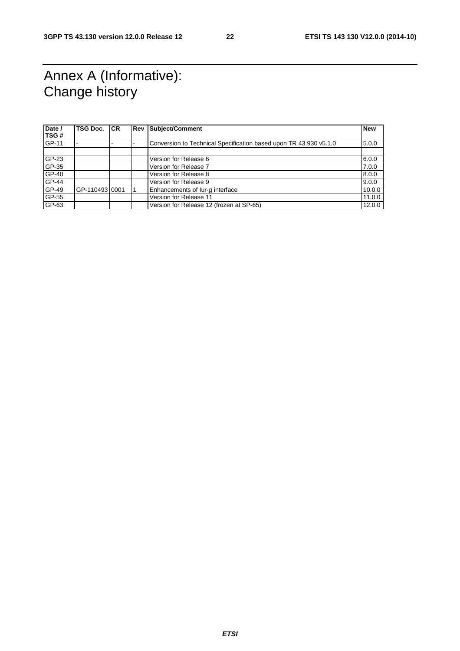# Annex A (Informative): Change history

| Date /<br>TSG# | TSG Doc.       | <b>ICR</b> | <b>Rev Subject/Comment</b>                                        | <b>New</b> |
|----------------|----------------|------------|-------------------------------------------------------------------|------------|
| GP-11          |                |            | Conversion to Technical Specification based upon TR 43.930 v5.1.0 | 5.0.0      |
|                |                |            |                                                                   |            |
| GP-23          |                |            | Version for Release 6                                             | 6.0.0      |
| GP-35          |                |            | Version for Release 7                                             | 7.0.0      |
| $GP-40$        |                |            | Version for Release 8                                             | 8.0.0      |
| $GP-44$        |                |            | Version for Release 9                                             | 9.0.0      |
| $GP-49$        | GP-110493 0001 |            | Enhancements of lur-g interface                                   | 10.0.0     |
| GP-55          |                |            | Version for Release 11                                            | 11.0.0     |
| $GP-63$        |                |            | Version for Release 12 (frozen at SP-65)                          | 12.0.0     |